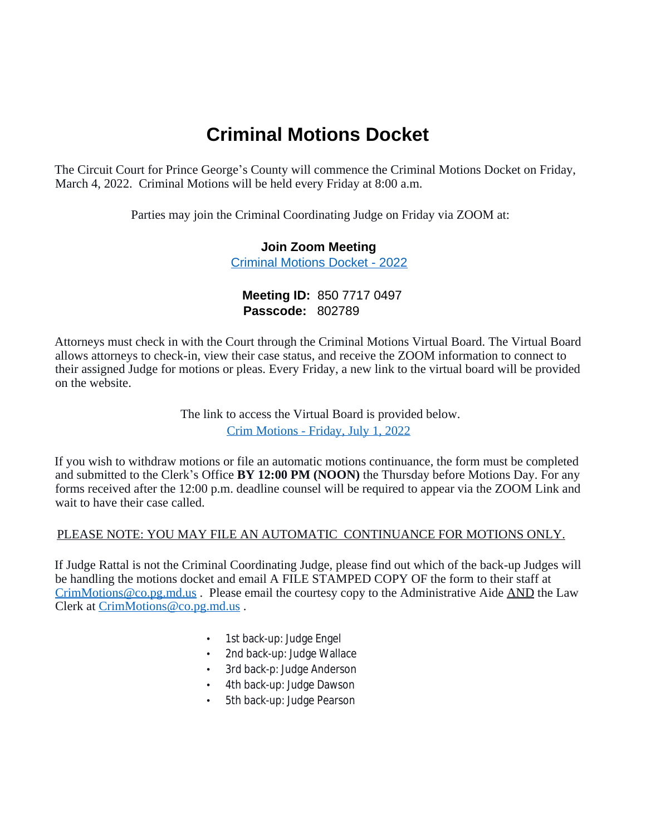# **Criminal Motions Docket**

The Circuit Court for Prince George's County will commence the Criminal Motions Docket on Friday, March 4, 2022. Criminal Motions will be held every Friday at 8:00 a.m.

Parties may join the Criminal Coordinating Judge on Friday via ZOOM at:

#### **Join Zoom Meeting**  [Criminal Motions Docket - 2022](https://princegeorgescourts.zoom.us/j/85077170497)

## **Meeting ID:** 850 7717 0497 **Passcode:** 802789

Attorneys must check in with the Court through the Criminal Motions Virtual Board. The Virtual Board allows attorneys to check-in, view their case status, and receive the ZOOM information to connect to their assigned Judge for motions or pleas. Every Friday, a new link to the virtual board will be provided on the website.

> The link to access the Virtual Board is provided below. [Crim Motions - Friday, July 1, 2022](https://docs.google.com/spreadsheets/d/1-h12rwPGDGlqCybiGgypQ3t52NksfUZpmp9KocfMhKo/edit#"gid=909455673")

If you wish to withdraw motions or file an automatic motions continuance, the form must be completed and submitted to the Clerk's Office **BY 12:00 PM (NOON)** the Thursday before Motions Day. For any forms received after the 12:00 p.m. deadline counsel will be required to appear via the ZOOM Link and wait to have their case called.

## PLEASE NOTE: YOU MAY FILE AN AUTOMATIC CONTINUANCE FOR MOTIONS ONLY.

If Judge Rattal is not the Criminal Coordinating Judge, please find out which of the back-up Judges will be handling the motions docket and email A FILE STAMPED COPY OF the form to their staff at CrimMotions@co.pg.md.us . Please email the courtesy copy to the Administrative Aide AND the Law Clerk at CrimMotions@co.pg.md.us .

- 1st back-up: Judge Engel
- 2nd back-up: Judge Wallace
- 3rd back-p: Judge Anderson
- 4th back-up: Judge Dawson
- 5th back-up: Judge Pearson